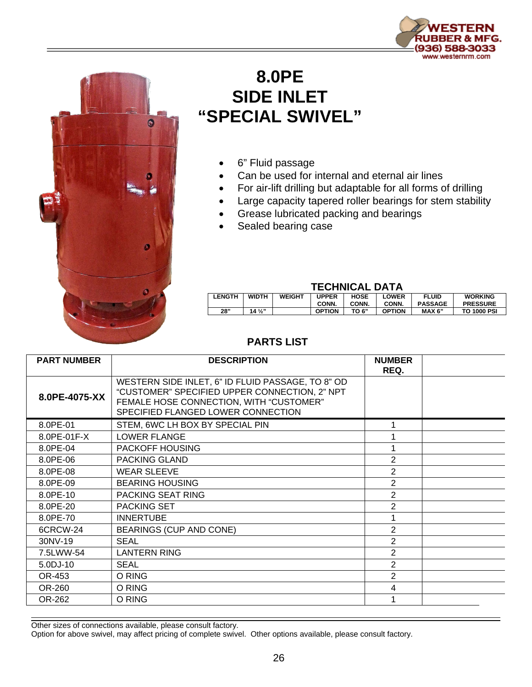



## **8.0PE SIDE INLET "SPECIAL SWIVEL"**

- 6" Fluid passage
- Can be used for internal and eternal air lines
- For air-lift drilling but adaptable for all forms of drilling
- Large capacity tapered roller bearings for stem stability
- Grease lubricated packing and bearings
- Sealed bearing case

## **TECHNICAL DATA**

| <b>LENGTH</b> | <b>WIDTH</b>    | <b>WEIGHT</b> | UPPER         | <b>HOSE</b> | LOWER         | <b>FLUID</b>   | <b>WORKING</b>     |  |  |
|---------------|-----------------|---------------|---------------|-------------|---------------|----------------|--------------------|--|--|
|               |                 |               | CONN.         | CONN.       | CONN.         | <b>PASSAGE</b> | <b>PRESSURE</b>    |  |  |
| 28"           | $14\frac{1}{2}$ |               | <b>OPTION</b> | TO 6"       | <b>OPTION</b> | MAX 6"         | <b>TO 1000 PSI</b> |  |  |
|               |                 |               |               |             |               |                |                    |  |  |

## **PARTS LIST**

| <b>PART NUMBER</b> | <b>DESCRIPTION</b>                                                                                                                                                                  | <b>NUMBER</b><br>REQ. |  |
|--------------------|-------------------------------------------------------------------------------------------------------------------------------------------------------------------------------------|-----------------------|--|
| 8.0PE-4075-XX      | WESTERN SIDE INLET, 6" ID FLUID PASSAGE, TO 8" OD<br>"CUSTOMER" SPECIFIED UPPER CONNECTION, 2" NPT<br>FEMALE HOSE CONNECTION, WITH "CUSTOMER"<br>SPECIFIED FLANGED LOWER CONNECTION |                       |  |
| 8.0PE-01           | STEM, 6WC LH BOX BY SPECIAL PIN                                                                                                                                                     |                       |  |
| 8.0PE-01F-X        | LOWER FLANGE                                                                                                                                                                        |                       |  |
| 8.0PE-04           | PACKOFF HOUSING                                                                                                                                                                     |                       |  |
| 8.0PE-06           | <b>PACKING GLAND</b>                                                                                                                                                                | $\overline{2}$        |  |
| 8.0PE-08           | <b>WEAR SLEEVE</b>                                                                                                                                                                  | $\overline{2}$        |  |
| 8.0PE-09           | <b>BEARING HOUSING</b>                                                                                                                                                              | $\overline{2}$        |  |
| 8.0PE-10           | <b>PACKING SEAT RING</b>                                                                                                                                                            | $\overline{2}$        |  |
| 8.0PE-20           | <b>PACKING SET</b>                                                                                                                                                                  | 2                     |  |
| 8.0PE-70           | <b>INNERTUBE</b>                                                                                                                                                                    |                       |  |
| 6CRCW-24           | <b>BEARINGS (CUP AND CONE)</b>                                                                                                                                                      | 2                     |  |
| 30NV-19            | <b>SEAL</b>                                                                                                                                                                         | $\overline{2}$        |  |
| 7.5LWW-54          | <b>LANTERN RING</b>                                                                                                                                                                 | $\overline{2}$        |  |
| 5.0DJ-10           | <b>SEAL</b>                                                                                                                                                                         | 2                     |  |
| OR-453             | O RING                                                                                                                                                                              | $\overline{2}$        |  |
| OR-260             | O RING                                                                                                                                                                              | 4                     |  |
| OR-262             | O RING                                                                                                                                                                              |                       |  |

Other sizes of connections available, please consult factory.

Option for above swivel, may affect pricing of complete swivel. Other options available, please consult factory.